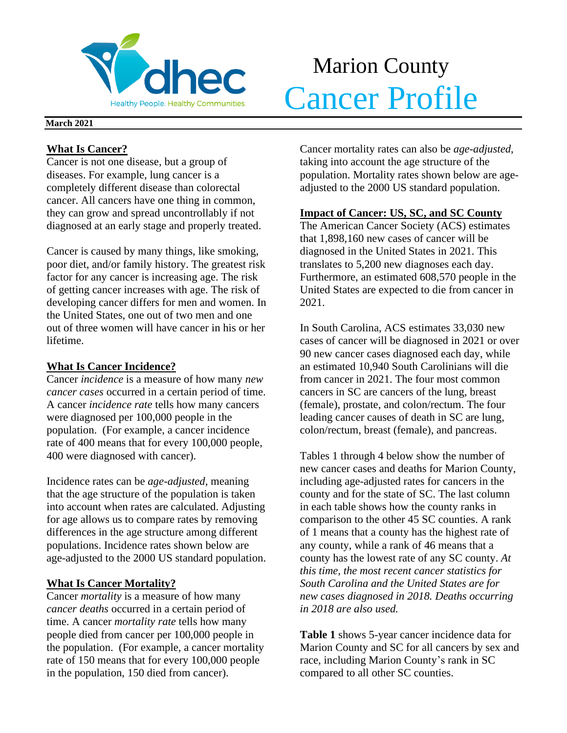

# Marion County Merchantle Cancer Profile

### **March 2021**

## **What Is Cancer?**

Cancer is not one disease, but a group of diseases. For example, lung cancer is a completely different disease than colorectal cancer. All cancers have one thing in common, they can grow and spread uncontrollably if not diagnosed at an early stage and properly treated.

Cancer is caused by many things, like smoking, poor diet, and/or family history. The greatest risk factor for any cancer is increasing age. The risk of getting cancer increases with age. The risk of developing cancer differs for men and women. In the United States, one out of two men and one out of three women will have cancer in his or her lifetime.

## **What Is Cancer Incidence?**

Cancer *incidence* is a measure of how many *new cancer cases* occurred in a certain period of time. A cancer *incidence rate* tells how many cancers were diagnosed per 100,000 people in the population. (For example, a cancer incidence rate of 400 means that for every 100,000 people, 400 were diagnosed with cancer).

Incidence rates can be *age-adjusted*, meaning that the age structure of the population is taken into account when rates are calculated. Adjusting for age allows us to compare rates by removing differences in the age structure among different populations. Incidence rates shown below are age-adjusted to the 2000 US standard population.

## **What Is Cancer Mortality?**

Cancer *mortality* is a measure of how many *cancer deaths* occurred in a certain period of time. A cancer *mortality rate* tells how many people died from cancer per 100,000 people in the population. (For example, a cancer mortality rate of 150 means that for every 100,000 people in the population, 150 died from cancer).

Cancer mortality rates can also be *age-adjusted*, taking into account the age structure of the population. Mortality rates shown below are ageadjusted to the 2000 US standard population.

## **Impact of Cancer: US, SC, and SC County**

The American Cancer Society (ACS) estimates that 1,898,160 new cases of cancer will be diagnosed in the United States in 2021. This translates to 5,200 new diagnoses each day. Furthermore, an estimated 608,570 people in the United States are expected to die from cancer in 2021.

In South Carolina, ACS estimates 33,030 new cases of cancer will be diagnosed in 2021 or over 90 new cancer cases diagnosed each day, while an estimated 10,940 South Carolinians will die from cancer in 2021. The four most common cancers in SC are cancers of the lung, breast (female), prostate, and colon/rectum. The four leading cancer causes of death in SC are lung, colon/rectum, breast (female), and pancreas.

Tables 1 through 4 below show the number of new cancer cases and deaths for Marion County, including age-adjusted rates for cancers in the county and for the state of SC. The last column in each table shows how the county ranks in comparison to the other 45 SC counties. A rank of 1 means that a county has the highest rate of any county, while a rank of 46 means that a county has the lowest rate of any SC county. *At this time, the most recent cancer statistics for South Carolina and the United States are for new cases diagnosed in 2018. Deaths occurring in 2018 are also used.*

**Table 1** shows 5-year cancer incidence data for Marion County and SC for all cancers by sex and race, including Marion County's rank in SC compared to all other SC counties.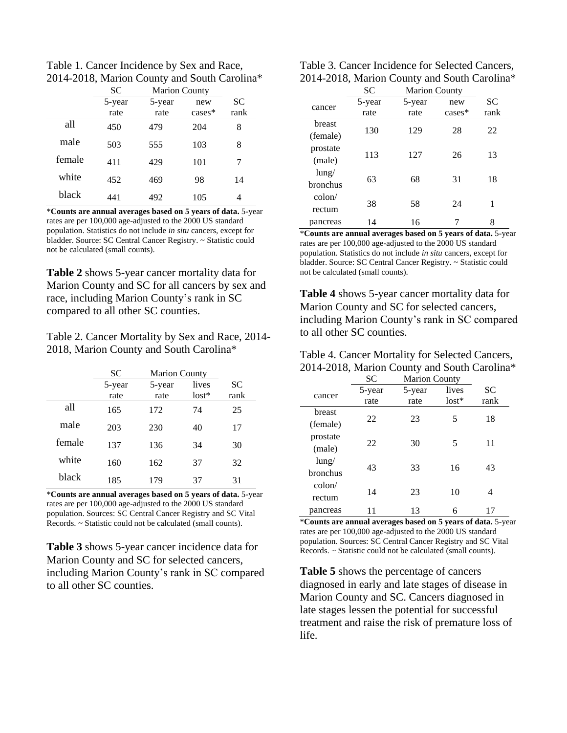Table 1. Cancer Incidence by Sex and Race, 2014-2018, Marion County and South Carolina\*

|        | <b>SC</b> | <b>Marion County</b> |           |           |
|--------|-----------|----------------------|-----------|-----------|
|        | 5-year    | 5-year               | new       | <b>SC</b> |
|        | rate      | rate                 | $cases^*$ | rank      |
| all    | 450       | 479                  | 204       | 8         |
| male   | 503       | 555                  | 103       | 8         |
| female | 411       | 429                  | 101       | 7         |
| white  | 452       | 469                  | 98        | 14        |
| black  | 441       | 492                  | 105       | 4         |

\***Counts are annual averages based on 5 years of data.** 5-year rates are per 100,000 age-adjusted to the 2000 US standard population. Statistics do not include *in situ* cancers, except for bladder. Source: SC Central Cancer Registry. ~ Statistic could not be calculated (small counts).

**Table 2** shows 5-year cancer mortality data for Marion County and SC for all cancers by sex and race, including Marion County's rank in SC compared to all other SC counties.

Table 2. Cancer Mortality by Sex and Race, 2014- 2018, Marion County and South Carolina\*

|        | SC             | <b>Marion County</b> |                  |                   |
|--------|----------------|----------------------|------------------|-------------------|
|        | 5-year<br>rate | 5-year<br>rate       | lives<br>$lost*$ | <b>SC</b><br>rank |
| all    | 165            | 172                  | 74               | 25                |
| male   | 203            | 230                  | 40               | 17                |
| female | 137            | 136                  | 34               | 30                |
| white  | 160            | 162                  | 37               | 32                |
| black  | 185            | 179                  | 37               | 31                |

\***Counts are annual averages based on 5 years of data.** 5-year rates are per 100,000 age-adjusted to the 2000 US standard population. Sources: SC Central Cancer Registry and SC Vital Records. ~ Statistic could not be calculated (small counts).

**Table 3** shows 5-year cancer incidence data for Marion County and SC for selected cancers, including Marion County's rank in SC compared to all other SC counties.

| Table 3. Cancer Incidence for Selected Cancers, |
|-------------------------------------------------|
| 2014-2018, Marion County and South Carolina*    |

|                      | SC     | <b>Marion County</b> |          |      |  |
|----------------------|--------|----------------------|----------|------|--|
| cancer               | 5-year | 5-year               | new      | SC   |  |
|                      | rate   | rate                 | $cases*$ | rank |  |
| breast               |        |                      |          |      |  |
| (female)             | 130    | 129                  | 28       | 22   |  |
| prostate             | 113    | 127                  | 26       | 13   |  |
| (male)               |        |                      |          |      |  |
| $l$ ung/<br>bronchus | 63     | 68                   | 31       | 18   |  |
|                      |        |                      |          |      |  |
| $\text{colon}/$      | 38     | 58                   | 24       | 1    |  |
| rectum               |        |                      |          |      |  |
| pancreas             | 14     | 16                   |          | 8    |  |

\***Counts are annual averages based on 5 years of data.** 5-year rates are per 100,000 age-adjusted to the 2000 US standard population. Statistics do not include *in situ* cancers, except for bladder. Source: SC Central Cancer Registry. ~ Statistic could not be calculated (small counts).

**Table 4** shows 5-year cancer mortality data for Marion County and SC for selected cancers, including Marion County's rank in SC compared to all other SC counties.

| Table 4. Cancer Mortality for Selected Cancers, |
|-------------------------------------------------|
| 2014-2018, Marion County and South Carolina*    |

|                 | SC     | <b>Marion County</b> |         |      |
|-----------------|--------|----------------------|---------|------|
| cancer          | 5-year | 5-year               | lives   | SC   |
|                 | rate   | rate                 | $lost*$ | rank |
| breast          |        |                      |         |      |
| (female)        | 22     | 23                   | 5       | 18   |
| prostate        |        |                      |         |      |
| (male)          | 22     | 30                   | 5       | 11   |
| $l$ ung/        |        |                      |         |      |
| <b>bronchus</b> | 43     | 33                   | 16      | 43   |
| $\text{colon}/$ |        |                      |         |      |
| rectum          | 14     | 23                   | 10      | 4    |
| pancreas        |        | 13                   | 6       |      |

\***Counts are annual averages based on 5 years of data.** 5-year rates are per 100,000 age-adjusted to the 2000 US standard population. Sources: SC Central Cancer Registry and SC Vital Records. ~ Statistic could not be calculated (small counts).

**Table 5** shows the percentage of cancers diagnosed in early and late stages of disease in Marion County and SC. Cancers diagnosed in late stages lessen the potential for successful treatment and raise the risk of premature loss of life.